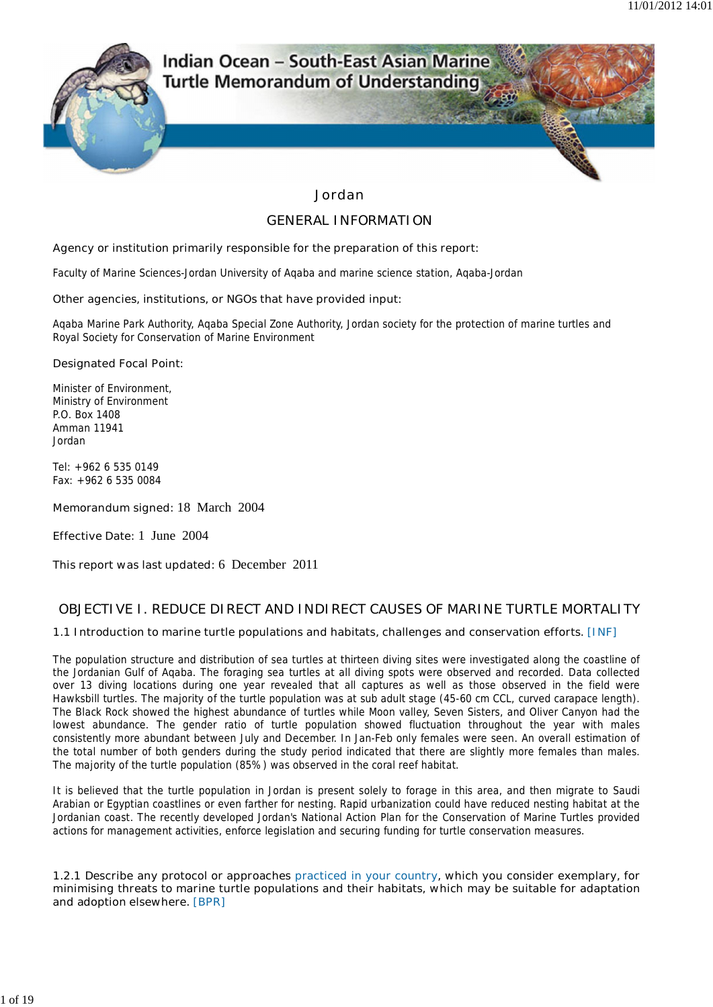

# Indian Ocean - South-East Asian Marine **Turtle Memorandum of Understanding**

### **Jordan**

### **GENERAL INFORMATION**

### **Agency or institution primarily responsible for the preparation of this report:**

Faculty of Marine Sciences-Jordan University of Aqaba and marine science station, Aqaba-Jordan

### **Other agencies, institutions, or NGOs that have provided input:**

Aqaba Marine Park Authority, Aqaba Special Zone Authority, Jordan society for the protection of marine turtles and Royal Society for Conservation of Marine Environment

### **Designated Focal Point:**

Minister of Environment, Ministry of Environment P.O. Box 1408 Amman 11941 Jordan

Tel: +962 6 535 0149 Fax: +962 6 535 0084

**Memorandum signed:** 18 March 2004

**Effective Date:** 1 June 2004

**This report was last updated:** 6 December 2011

# **OBJECTIVE I. REDUCE DIRECT AND INDIRECT CAUSES OF MARINE TURTLE MORTALITY**

### **1.1 Introduction to marine turtle populations and habitats, challenges and conservation efforts. [INF]**

The population structure and distribution of sea turtles at thirteen diving sites were investigated along the coastline of the Jordanian Gulf of Aqaba. The foraging sea turtles at all diving spots were observed and recorded. Data collected over 13 diving locations during one year revealed that all captures as well as those observed in the field were Hawksbill turtles. The majority of the turtle population was at sub adult stage (45-60 cm CCL, curved carapace length). The Black Rock showed the highest abundance of turtles while Moon valley, Seven Sisters, and Oliver Canyon had the lowest abundance. The gender ratio of turtle population showed fluctuation throughout the year with males consistently more abundant between July and December. In Jan-Feb only females were seen. An overall estimation of the total number of both genders during the study period indicated that there are slightly more females than males. The majority of the turtle population (85%) was observed in the coral reef habitat.

It is believed that the turtle population in Jordan is present solely to forage in this area, and then migrate to Saudi Arabian or Egyptian coastlines or even farther for nesting. Rapid urbanization could have reduced nesting habitat at the Jordanian coast. The recently developed Jordan's National Action Plan for the Conservation of Marine Turtles provided actions for management activities, enforce legislation and securing funding for turtle conservation measures.

**1.2.1 Describe any protocol or approaches practiced in your country, which you consider exemplary, for minimising threats to marine turtle populations and their habitats, which may be suitable for adaptation and adoption elsewhere. [BPR]**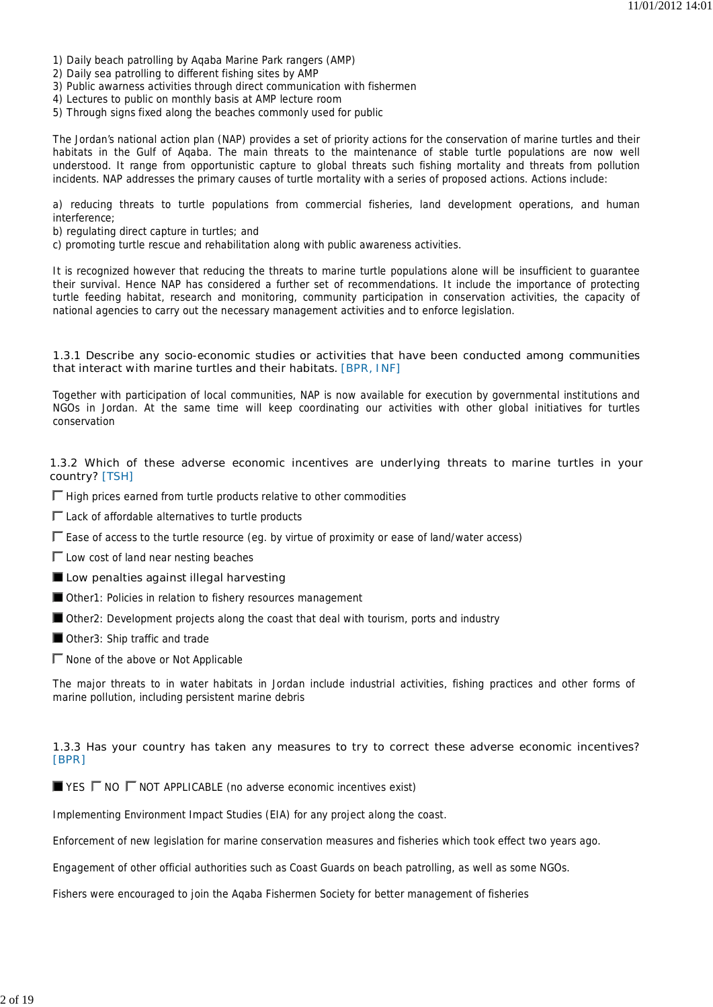- 1) Daily beach patrolling by Aqaba Marine Park rangers (AMP)
- 2) Daily sea patrolling to different fishing sites by AMP
- 3) Public awarness activities through direct communication with fishermen
- 4) Lectures to public on monthly basis at AMP lecture room
- 5) Through signs fixed along the beaches commonly used for public

The Jordan's national action plan (NAP) provides a set of priority actions for the conservation of marine turtles and their habitats in the Gulf of Aqaba. The main threats to the maintenance of stable turtle populations are now well understood. It range from opportunistic capture to global threats such fishing mortality and threats from pollution incidents. NAP addresses the primary causes of turtle mortality with a series of proposed actions. Actions include:

a) reducing threats to turtle populations from commercial fisheries, land development operations, and human interference;

b) regulating direct capture in turtles; and

c) promoting turtle rescue and rehabilitation along with public awareness activities.

It is recognized however that reducing the threats to marine turtle populations alone will be insufficient to guarantee their survival. Hence NAP has considered a further set of recommendations. It include the importance of protecting turtle feeding habitat, research and monitoring, community participation in conservation activities, the capacity of national agencies to carry out the necessary management activities and to enforce legislation.

### **1.3.1 Describe any socio-economic studies or activities that have been conducted among communities that interact with marine turtles and their habitats. [BPR, INF]**

Together with participation of local communities, NAP is now available for execution by governmental institutions and NGOs in Jordan. At the same time will keep coordinating our activities with other global initiatives for turtles conservation

### **1.3.2 Which of these adverse economic incentives are underlying threats to marine turtles in your country? [TSH]**

 $\Gamma$  High prices earned from turtle products relative to other commodities

 $\Gamma$  Lack of affordable alternatives to turtle products

 $\Gamma$  Ease of access to the turtle resource (eg. by virtue of proximity or ease of land/water access)

 $\Gamma$  Low cost of land near nesting beaches

**Low penalties against illegal harvesting**

- Other1: Policies in relation to fishery resources management
- Other2: Development projects along the coast that deal with tourism, ports and industry
- Other3: Ship traffic and trade
- $\Gamma$  None of the above or Not Applicable

The major threats to in water habitats in Jordan include industrial activities, fishing practices and other forms of marine pollution, including persistent marine debris

# **1.3.3 Has your country has taken any measures to try to correct these adverse economic incentives? [BPR]**

 $\blacksquare$  YES  $\blacksquare$  NO  $\blacksquare$  NOT APPLICABLE (no adverse economic incentives exist)

Implementing Environment Impact Studies (EIA) for any project along the coast.

Enforcement of new legislation for marine conservation measures and fisheries which took effect two years ago.

Engagement of other official authorities such as Coast Guards on beach patrolling, as well as some NGOs.

Fishers were encouraged to join the Aqaba Fishermen Society for better management of fisheries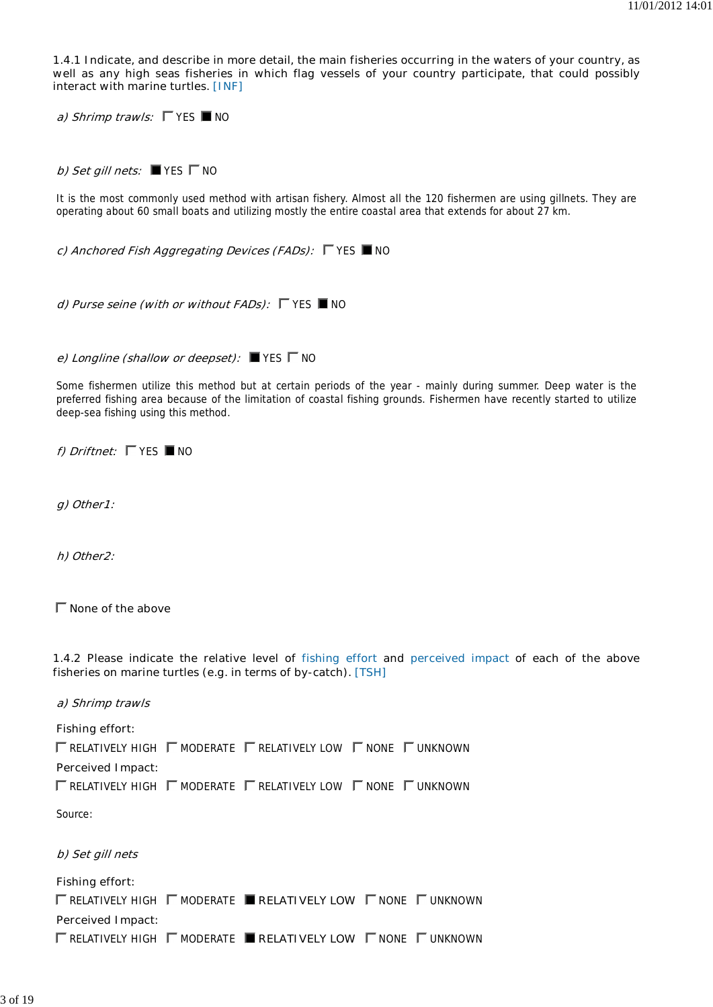**1.4.1 Indicate, and describe in more detail, the main fisheries occurring in the waters of your country, as well as any high seas fisheries in which flag vessels of your country participate, that could possibly interact with marine turtles. [INF]**

**a) Shrimp trawls:**  $\Gamma$  YES ■ NO

**b) Set gill nets:**  $\blacksquare$  YES  $\blacksquare$  NO

It is the most commonly used method with artisan fishery. Almost all the 120 fishermen are using gillnets. They are operating about 60 small boats and utilizing mostly the entire coastal area that extends for about 27 km.

*c)* **Anchored Fish Aggregating Devices (FADs):**  $\Gamma$  **YES ■ NO** 

*d)* **Purse seine (with or without FADs):**  $\Box$  **YES ■ NO** 

**e) Longline (shallow or deepset):** ■ YES  $\Gamma$  NO

Some fishermen utilize this method but at certain periods of the year - mainly during summer. Deep water is the preferred fishing area because of the limitation of coastal fishing grounds. Fishermen have recently started to utilize deep-sea fishing using this method.

**f)** Driftnet:  $\Gamma$  YES  $\blacksquare$  NO

**g) Other1:**

**h) Other2:**

**None of the above**

**1.4.2 Please indicate the relative level of fishing effort and perceived impact of each of the above fisheries on marine turtles (e.g. in terms of by-catch). [TSH]**

**a) Shrimp trawls**

**Fishing effort:**  $\Gamma$  RELATIVELY HIGH  $\Gamma$  MODERATE  $\Gamma$  RELATIVELY LOW  $\Gamma$  NONE  $\Gamma$  UNKNOWN

**Perceived Impact:**

 $\Gamma$  RELATIVELY HIGH  $\Gamma$  MODERATE  $\Gamma$  RELATIVELY LOW  $\Gamma$  NONE  $\Gamma$  UNKNOWN

Source:

**b) Set gill nets**

**Fishing effort:**

**ΓRELATIVELY HIGH ΓMODERATE <b>RELATIVELY LOW** ΓNONE ΓUNKNOWN **Perceived Impact:**  $\Gamma$  RELATIVELY HIGH  $\Gamma$  MODERATE ■ RELATIVELY LOW  $\Gamma$  NONE  $\Gamma$  UNKNOWN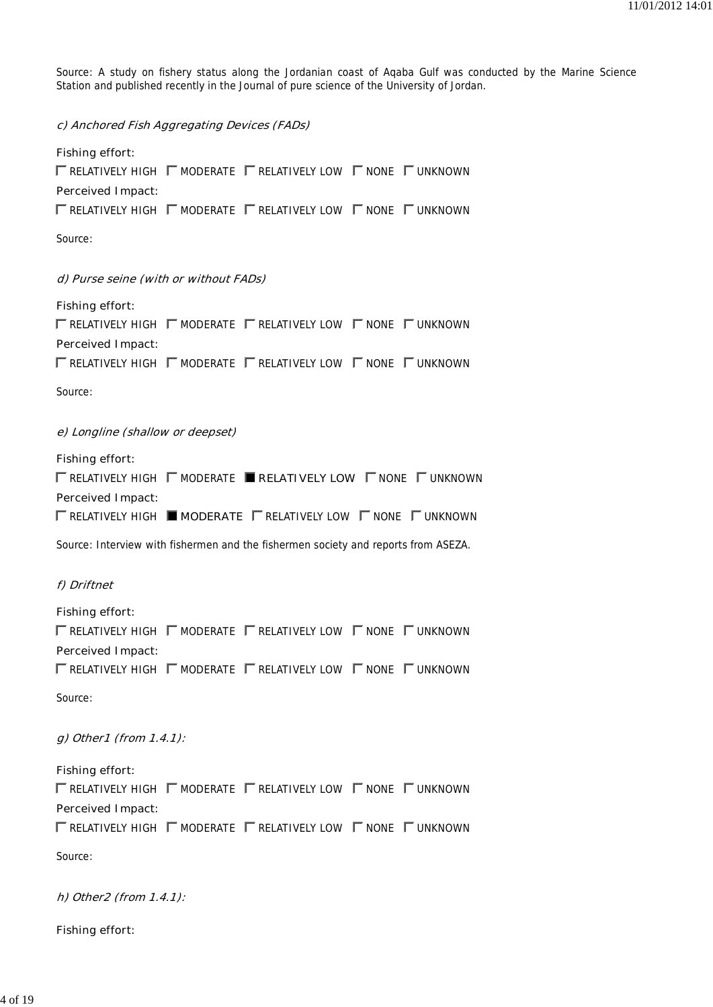Source: A study on fishery status along the Jordanian coast of Aqaba Gulf was conducted by the Marine Science Station and published recently in the Journal of pure science of the University of Jordan.

**c) Anchored Fish Aggregating Devices (FADs)**

# **Fishing effort:**  $\Gamma$  RELATIVELY HIGH  $\Gamma$  MODERATE  $\Gamma$  RELATIVELY LOW  $\Gamma$  NONE  $\Gamma$  UNKNOWN **Perceived Impact:**  $\Gamma$  relatively high  $\Gamma$  moderate  $\Gamma$  relatively low  $\Gamma$  none  $\Gamma$  unknown

Source:

### **d) Purse seine (with or without FADs)**

| Fishing effort:                                                                                   |  |  |
|---------------------------------------------------------------------------------------------------|--|--|
| T RELATIVELY HIGH T MODERATE T RELATIVELY LOW T NONE T UNKNOWN                                    |  |  |
| Perceived Impact:                                                                                 |  |  |
| $\Gamma$ relatively high $\Gamma$ moderate $\Gamma$ relatively low $\Gamma$ none $\Gamma$ unknown |  |  |
|                                                                                                   |  |  |

Source:

#### **e) Longline (shallow or deepset)**

| $\Gamma$ relatively high $\Gamma$ moderate <b>Final Algoratively LOW</b> $\Gamma$ none $\Gamma$ unknown |
|---------------------------------------------------------------------------------------------------------|
|                                                                                                         |
| $\Gamma$ relatively high <b>I moderate</b> $\Gamma$ relatively low $\Gamma$ none $\Gamma$ unknown       |
|                                                                                                         |

Source: Interview with fishermen and the fishermen society and reports from ASEZA.

## **f) Driftnet**

| Fishing effort:   |                                                                                                   |  |
|-------------------|---------------------------------------------------------------------------------------------------|--|
|                   | $\Gamma$ relatively high $\Gamma$ moderate $\Gamma$ relatively low $\Gamma$ none $\Gamma$ unknown |  |
| Perceived Impact: |                                                                                                   |  |
|                   | $\Gamma$ relatively high $\Gamma$ moderate $\Gamma$ relatively low $\Gamma$ none $\Gamma$ unknown |  |
|                   |                                                                                                   |  |

Source:

### **g) Other1 (from 1.4.1):**

**Fishing effort:**  $\Gamma$  RELATIVELY HIGH  $\Gamma$  MODERATE  $\Gamma$  RELATIVELY LOW  $\Gamma$  NONE  $\Gamma$  UNKNOWN **Perceived Impact:**  $\Gamma$  RELATIVELY HIGH  $\Gamma$  MODERATE  $\Gamma$  RELATIVELY LOW  $\Gamma$  NONE  $\Gamma$  UNKNOWN

Source:

**h) Other2 (from 1.4.1):**

**Fishing effort:**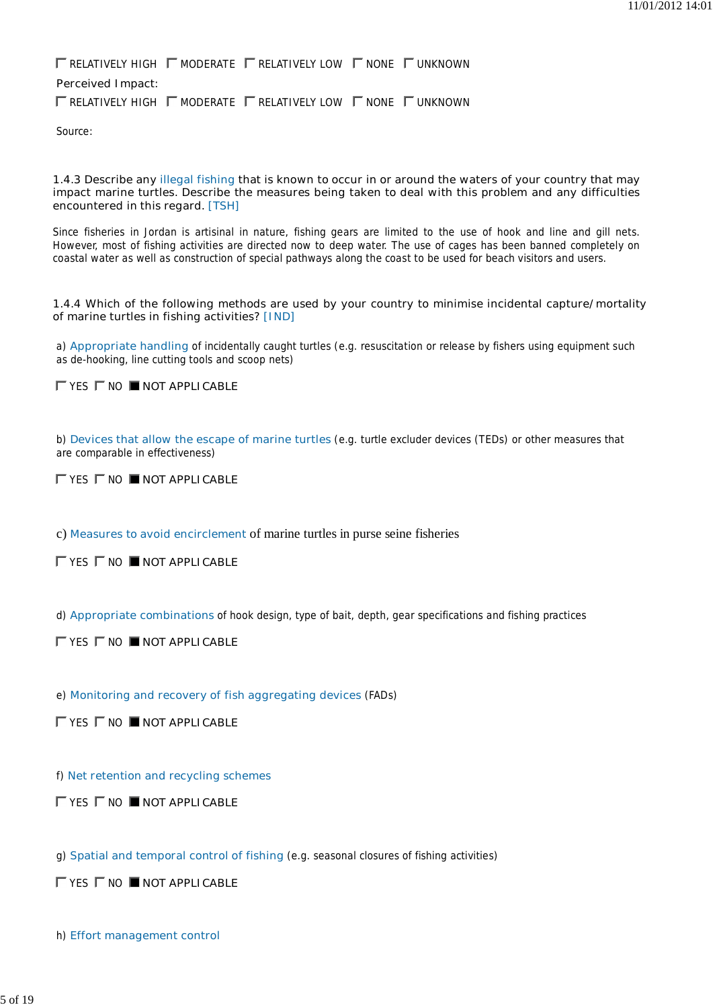$\Gamma$  RELATIVELY HIGH  $\Gamma$  moderate  $\Gamma$  relatively low  $\Gamma$  none  $\Gamma$  unknown **Perceived Impact:**  $\Gamma$  relatively high  $\Gamma$  moderate  $\Gamma$  relatively low  $\Gamma$  none  $\Gamma$  unknown

Source:

#### **1.4.3 Describe any illegal fishing that is known to occur in or around the waters of your country that may impact marine turtles. Describe the measures being taken to deal with this problem and any difficulties encountered in this regard. [TSH]**

Since fisheries in Jordan is artisinal in nature, fishing gears are limited to the use of hook and line and gill nets. However, most of fishing activities are directed now to deep water. The use of cages has been banned completely on coastal water as well as construction of special pathways along the coast to be used for beach visitors and users.

### **1.4.4 Which of the following methods are used by your country to minimise incidental capture/mortality of marine turtles in fishing activities? [IND]**

a) **Appropriate handling** of incidentally caught turtles (e.g. resuscitation or release by fishers using equipment such as de-hooking, line cutting tools and scoop nets)

**TYES TWO NOT APPLICABLE** 

b) **Devices that allow the escape of marine turtles** (e.g. turtle excluder devices (TEDs) or other measures that are comparable in effectiveness)

**EXES ENO INOTAPPLICABLE** 

c) **Measures to avoid encirclement** of marine turtles in purse seine fisheries

**EXES ENO IMOTAPPLICABLE** 

d) **Appropriate combinations** of hook design, type of bait, depth, gear specifications and fishing practices

**EXES ENO INOTAPPLICABLE** 

e) **Monitoring and recovery of fish aggregating devices** (FADs)

**TYES TNO INOTAPPLICABLE** 

f) **Net retention and recycling schemes**

**NO ■NOT APPLICABLE** 

g) **Spatial and temporal control of fishing** (e.g. seasonal closures of fishing activities)

**NO ■NOT APPLICABLE** 

h) **Effort management control**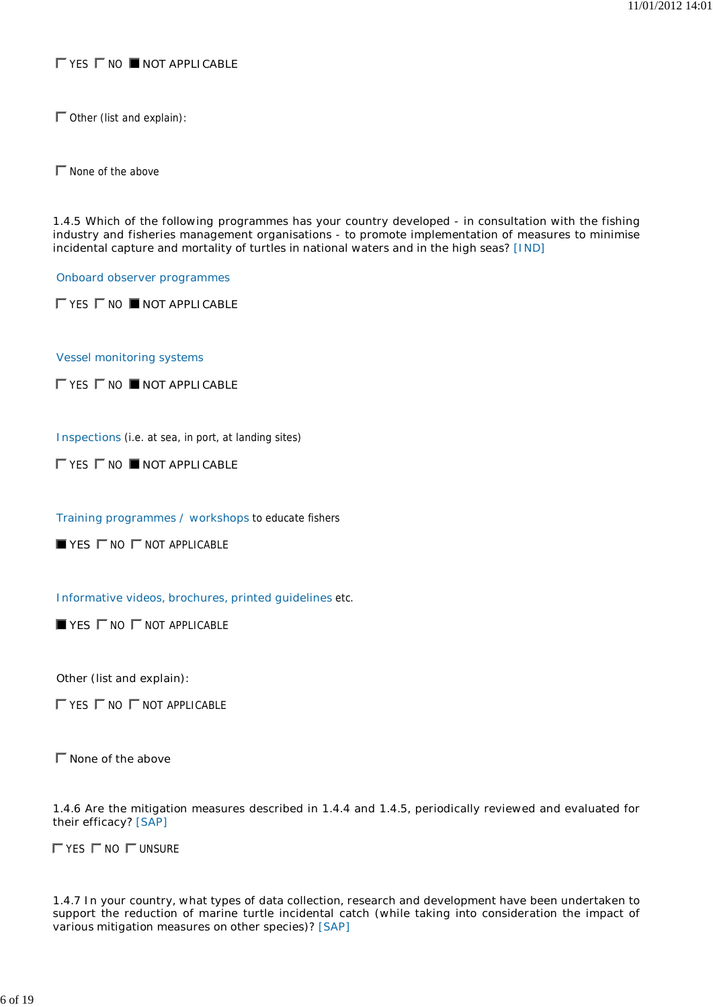# **TYES TNO INOTAPPLICABLE**

 $\Gamma$  Other (list and explain):

 $\Gamma$  None of the above

**1.4.5 Which of the following programmes has your country developed - in consultation with the fishing industry and fisheries management organisations - to promote implementation of measures to minimise incidental capture and mortality of turtles in national waters and in the high seas? [IND]**

**Onboard observer programmes**

**FYES F NO INOT APPLICABLE** 

**Vessel monitoring systems**

 $\Gamma$  **YES**  $\Gamma$  **NO ■ NOT APPLICABLE** 

**Inspections** (i.e. at sea, in port, at landing sites)

**TYES TWO NOT APPLICABLE** 

**Training programmes / workshops** to educate fishers

 $$ 

**Informative videos, brochures, printed guidelines** etc.

 $\blacksquare$  **YES**  $\blacksquare$  NO  $\blacksquare$  NOT APPLICABLE

**Other (list and explain):**

 $\Gamma$  YES  $\Gamma$  NO  $\Gamma$  NOT APPLICABLE

**None of the above**

**1.4.6 Are the mitigation measures described in 1.4.4 and 1.4.5, periodically reviewed and evaluated for their efficacy? [SAP]**

 $\Gamma$  YES  $\Gamma$  NO  $\Gamma$  UNSURE

**1.4.7 In your country, what types of data collection, research and development have been undertaken to support the reduction of marine turtle incidental catch (while taking into consideration the impact of various mitigation measures on other species)? [SAP]**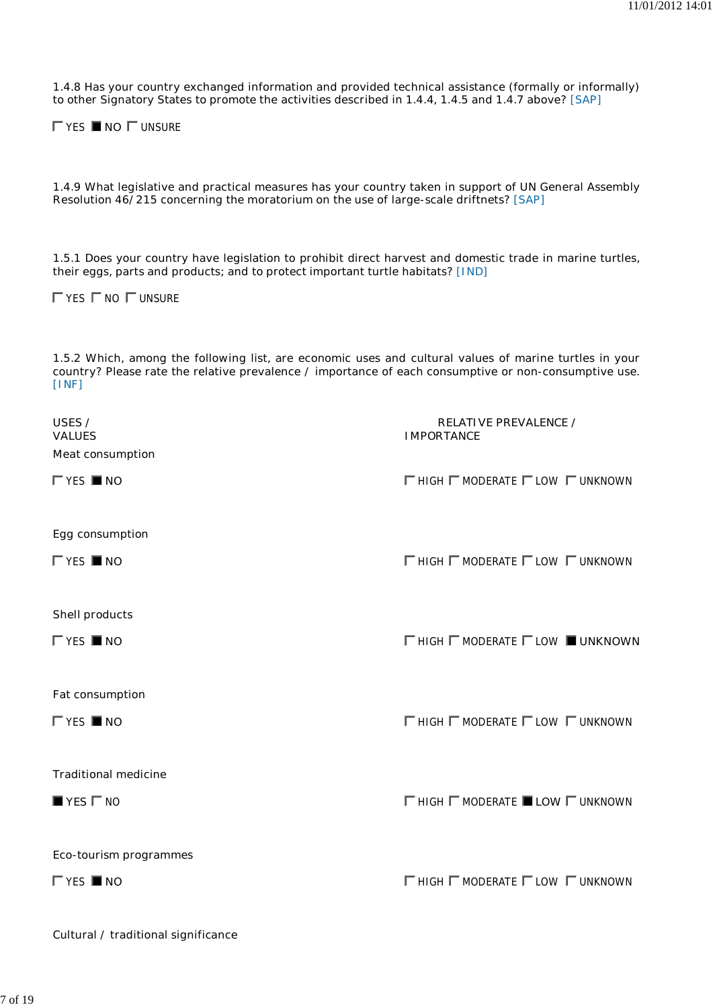**1.4.8 Has your country exchanged information and provided technical assistance (formally or informally) to other Signatory States to promote the activities described in 1.4.4, 1.4.5 and 1.4.7 above? [SAP]**

YES **NO** UNSURE

**1.4.9 What legislative and practical measures has your country taken in support of UN General Assembly Resolution 46/215 concerning the moratorium on the use of large-scale driftnets? [SAP]**

**1.5.1 Does your country have legislation to prohibit direct harvest and domestic trade in marine turtles, their eggs, parts and products; and to protect important turtle habitats? [IND]**

 $\Gamma$  YES  $\Gamma$  NO  $\Gamma$  UNSURE

**1.5.2 Which, among the following list, are economic uses and cultural values of marine turtles in your country? Please rate the relative prevalence / importance of each consumptive or non-consumptive use. [INF]**

| USES /<br><b>VALUES</b><br><b>Meat consumption</b> | <b>RELATIVE PREVALENCE /</b><br><b>IMPORTANCE</b>             |
|----------------------------------------------------|---------------------------------------------------------------|
| $\Gamma$ YES <b>NO</b>                             | $\Gamma$ HIGH $\Gamma$ MODERATE $\Gamma$ LOW $\Gamma$ UNKNOWN |
| Egg consumption                                    |                                                               |
| $\Gamma$ YES <b>NO</b>                             | $\Gamma$ HIGH $\Gamma$ MODERATE $\Gamma$ LOW $\Gamma$ UNKNOWN |
| <b>Shell products</b>                              |                                                               |
| $\Gamma$ YES <b>NO</b>                             | <b>ΓHIGH ΓMODERATE ΓLOW UNKNOWN</b>                           |
| <b>Fat consumption</b>                             |                                                               |
| $\Gamma$ YES <b>NO</b>                             | $\Gamma$ HIGH $\Gamma$ MODERATE $\Gamma$ LOW $\Gamma$ UNKNOWN |
| <b>Traditional medicine</b>                        |                                                               |
| $\blacksquare$ YES $\blacksquare$ NO               | $\Gamma$ HIGH $\Gamma$ MODERATE <b>LOW</b> $\Gamma$ UNKNOWN   |
| Eco-tourism programmes                             |                                                               |
| $\Gamma$ YES <b>NO</b>                             | $\Gamma$ HIGH $\Gamma$ MODERATE $\Gamma$ LOW $\Gamma$ UNKNOWN |

**Cultural / traditional significance**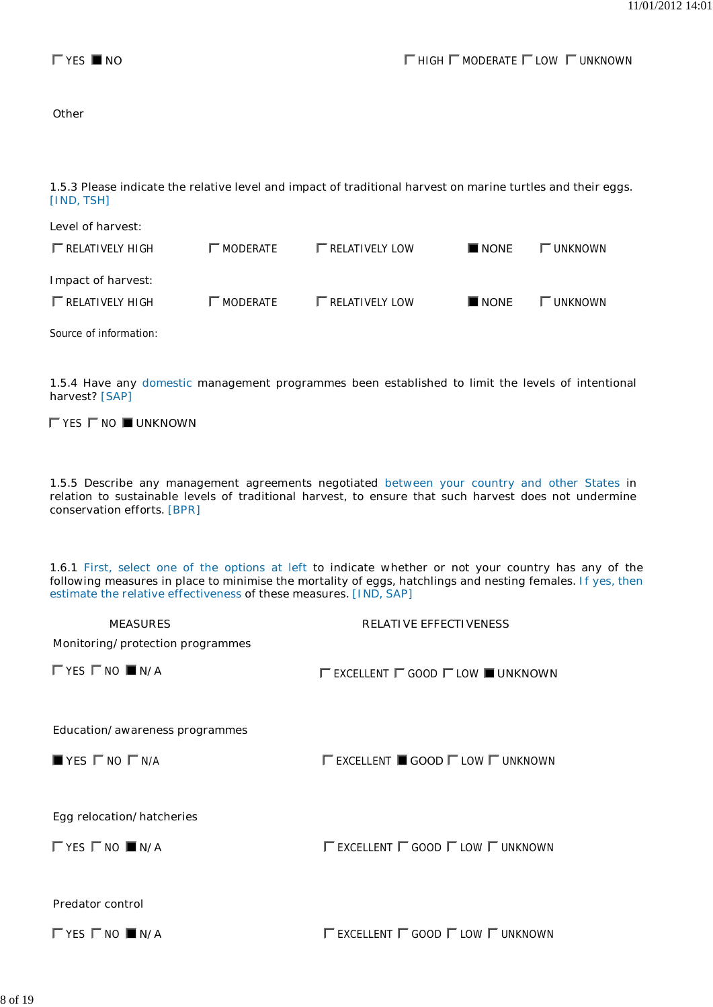**Other**

**1.5.3 Please indicate the relative level and impact of traditional harvest on marine turtles and their eggs. [IND, TSH]**

| Level of harvest:        |                   |                         |             |                |
|--------------------------|-------------------|-------------------------|-------------|----------------|
| $\Gamma$ RELATIVELY HIGH | MODERATE          | $\Gamma$ RELATIVELY LOW | <b>NONE</b> | <b>UNKNOWN</b> |
| Impact of harvest:       |                   |                         |             |                |
| $\Gamma$ RELATIVELY HIGH | $\Gamma$ moderate | $\Gamma$ RELATIVELY LOW | <b>NONE</b> | <b>UNKNOWN</b> |

Source of information:

**1.5.4 Have any domestic management programmes been established to limit the levels of intentional harvest? [SAP]**

 $\Gamma$  YES  $\Gamma$  NO  $\blacksquare$  UNKNOWN

**1.5.5 Describe any management agreements negotiated between your country and other States in relation to sustainable levels of traditional harvest, to ensure that such harvest does not undermine conservation efforts. [BPR]**

**1.6.1 First, select one of the options at left to indicate whether or not your country has any of the following measures in place to minimise the mortality of eggs, hatchlings and nesting females. If yes, then estimate the relative effectiveness of these measures. [IND, SAP]**

| <b>MEASURES</b>                                   | <b>RELATIVE EFFECTIVENESS</b>                                               |
|---------------------------------------------------|-----------------------------------------------------------------------------|
| Monitoring/protection programmes                  |                                                                             |
| $\Gamma$ YES $\Gamma$ NO $\blacksquare$ N/A       | $\Gamma$ excellent $\Gamma$ good $\Gamma$ low $\blacksquare$ unknown        |
| <b>Education/awareness programmes</b>             |                                                                             |
| $\blacksquare$ YES $\sqsubset$ NO $\sqsubset$ N/A | $\Gamma$ excellent $\blacksquare$ <b>Good</b> $\Gamma$ low $\Gamma$ unknown |
|                                                   |                                                                             |
| <b>Egg relocation/hatcheries</b>                  |                                                                             |
| $\Gamma$ YES $\Gamma$ NO $\blacksquare$ N/A       | $\Gamma$ excellent $\Gamma$ good $\Gamma$ low $\Gamma$ unknown              |
|                                                   |                                                                             |
| <b>Predator control</b>                           |                                                                             |
| $\Gamma$ YES $\Gamma$ NO $\blacksquare$ N/A       | $\Gamma$ excellent $\Gamma$ good $\Gamma$ low $\Gamma$ unknown              |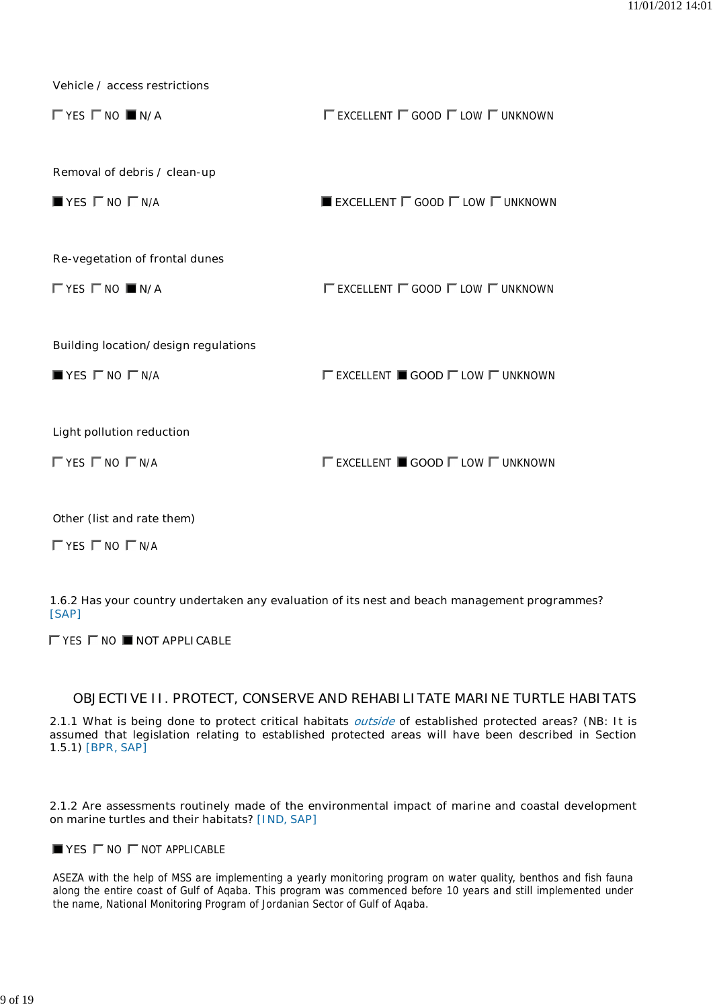**Vehicle / access restrictions**

| $\Gamma$ YES $\Gamma$ NO $\blacksquare$ N/A       | $\Gamma$ excellent $\Gamma$ good $\Gamma$ low $\Gamma$ unknown              |
|---------------------------------------------------|-----------------------------------------------------------------------------|
| Removal of debris / clean-up                      |                                                                             |
| $\blacksquare$ YES $\sqsubset$ NO $\sqsubset$ N/A | EXCELLENT $\Gamma$ GOOD $\Gamma$ LOW $\Gamma$ UNKNOWN                       |
| Re-vegetation of frontal dunes                    |                                                                             |
| $\Gamma$ YES $\Gamma$ NO $\blacksquare$ N/A       | $\Gamma$ excellent $\Gamma$ good $\Gamma$ low $\Gamma$ unknown              |
| <b>Building location/design regulations</b>       |                                                                             |
| $\blacksquare$ YES $\sqsubset$ NO $\sqsubset$ N/A | $\Gamma$ excellent $\blacksquare$ good $\Gamma$ low $\Gamma$ unknown        |
| Light pollution reduction                         |                                                                             |
| $\Gamma$ YES $\Gamma$ NO $\Gamma$ N/A             | $\Gamma$ excellent $\blacksquare$ <b>GOOD</b> $\Gamma$ low $\Gamma$ unknown |

**Other (list and rate them)**

 $\Gamma$  YES  $\Gamma$  NO  $\Gamma$  N/A

**1.6.2 Has your country undertaken any evaluation of its nest and beach management programmes? [SAP]**

 $\Gamma$  **YES**  $\Gamma$  **NO ■ NOT APPLICABLE** 

# **OBJECTIVE II. PROTECT, CONSERVE AND REHABILITATE MARINE TURTLE HABITATS**

**2.1.1 What is being done to protect critical habitats outside of established protected areas? (NB: It is assumed that legislation relating to established protected areas will have been described in Section 1.5.1) [BPR, SAP]**

**2.1.2 Are assessments routinely made of the environmental impact of marine and coastal development on marine turtles and their habitats? [IND, SAP]**

**YES**  $\Gamma$  NO  $\Gamma$  NOT APPLICABLE

ASEZA with the help of MSS are implementing a yearly monitoring program on water quality, benthos and fish fauna along the entire coast of Gulf of Aqaba. This program was commenced before 10 years and still implemented under the name, National Monitoring Program of Jordanian Sector of Gulf of Aqaba.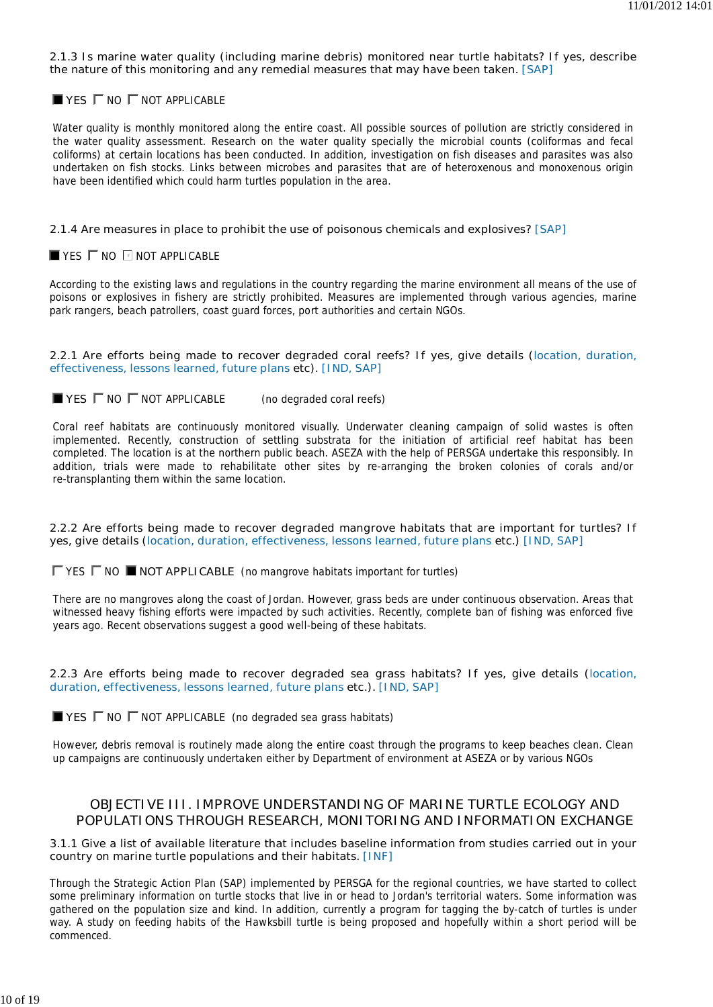#### **2.1.3 Is marine water quality (including marine debris) monitored near turtle habitats? If yes, describe the nature of this monitoring and any remedial measures that may have been taken. [SAP]**

### $\blacksquare$  **YES**  $\blacksquare$  NO  $\blacksquare$  NOT APPLICABLE

Water quality is monthly monitored along the entire coast. All possible sources of pollution are strictly considered in the water quality assessment. Research on the water quality specially the microbial counts (coliformas and fecal coliforms) at certain locations has been conducted. In addition, investigation on fish diseases and parasites was also undertaken on fish stocks. Links between microbes and parasites that are of heteroxenous and monoxenous origin have been identified which could harm turtles population in the area.

### **2.1.4 Are measures in place to prohibit the use of poisonous chemicals and explosives? [SAP]**

### $\blacksquare$  YES  $\blacksquare$  NO  $\blacksquare$  NOT APPLICABLE

According to the existing laws and regulations in the country regarding the marine environment all means of the use of poisons or explosives in fishery are strictly prohibited. Measures are implemented through various agencies, marine park rangers, beach patrollers, coast guard forces, port authorities and certain NGOs.

#### **2.2.1 Are efforts being made to recover degraded coral reefs? If yes, give details (location, duration, effectiveness, lessons learned, future plans etc). [IND, SAP]**

 $\blacksquare$  **YES**  $\blacksquare$  NO  $\blacksquare$  **NOT APPLICABLE** (no degraded coral reefs)

Coral reef habitats are continuously monitored visually. Underwater cleaning campaign of solid wastes is often implemented. Recently, construction of settling substrata for the initiation of artificial reef habitat has been completed. The location is at the northern public beach. ASEZA with the help of PERSGA undertake this responsibly. In addition, trials were made to rehabilitate other sites by re-arranging the broken colonies of corals and/or re-transplanting them within the same location.

#### **2.2.2 Are efforts being made to recover degraded mangrove habitats that are important for turtles? If yes, give details (location, duration, effectiveness, lessons learned, future plans etc.) [IND, SAP]**

 $\Gamma$  YES  $\Gamma$  NO  $\blacksquare$  **NOT APPLICABLE** (no mangrove habitats important for turtles)

There are no mangroves along the coast of Jordan. However, grass beds are under continuous observation. Areas that witnessed heavy fishing efforts were impacted by such activities. Recently, complete ban of fishing was enforced five years ago. Recent observations suggest a good well-being of these habitats.

#### **2.2.3 Are efforts being made to recover degraded sea grass habitats? If yes, give details (location, duration, effectiveness, lessons learned, future plans etc.). [IND, SAP]**

**YES**  $\Gamma$  NO  $\Gamma$  NOT APPLICABLE (no degraded sea grass habitats)

However, debris removal is routinely made along the entire coast through the programs to keep beaches clean. Clean up campaigns are continuously undertaken either by Department of environment at ASEZA or by various NGOs

# **OBJECTIVE III. IMPROVE UNDERSTANDING OF MARINE TURTLE ECOLOGY AND POPULATIONS THROUGH RESEARCH, MONITORING AND INFORMATION EXCHANGE**

### **3.1.1 Give a list of available literature that includes baseline information from studies carried out in your country on marine turtle populations and their habitats. [INF]**

Through the Strategic Action Plan (SAP) implemented by PERSGA for the regional countries, we have started to collect some preliminary information on turtle stocks that live in or head to Jordan's territorial waters. Some information was gathered on the population size and kind. In addition, currently a program for tagging the by-catch of turtles is under way. A study on feeding habits of the Hawksbill turtle is being proposed and hopefully within a short period will be commenced.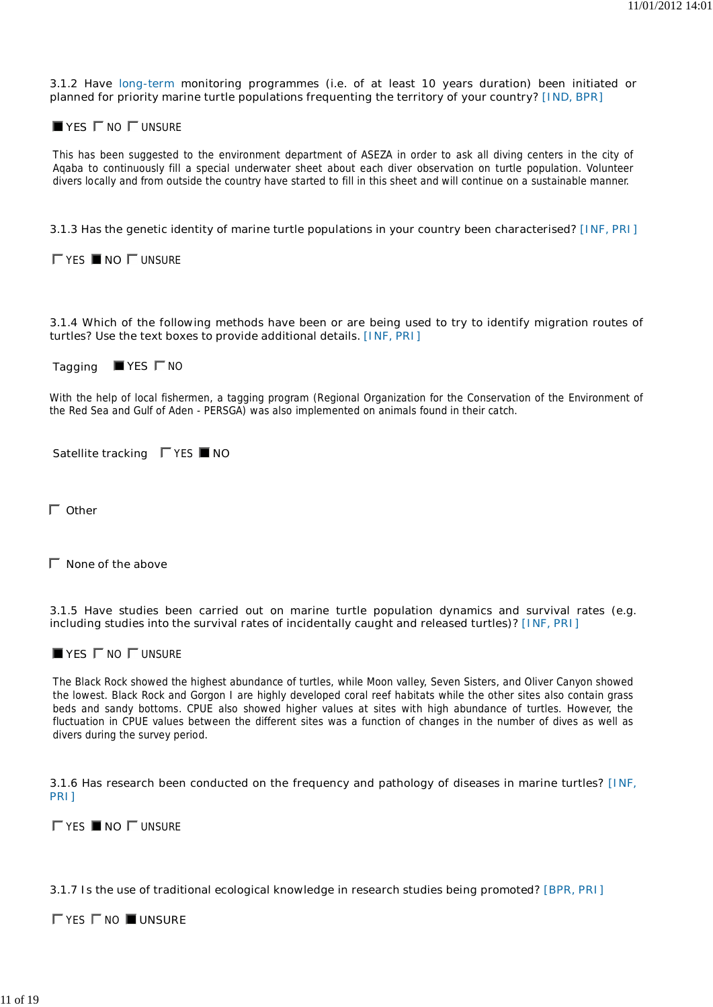**3.1.2 Have long-term monitoring programmes (i.e. of at least 10 years duration) been initiated or planned for priority marine turtle populations frequenting the territory of your country? [IND, BPR]**

 $$ 

This has been suggested to the environment department of ASEZA in order to ask all diving centers in the city of Aqaba to continuously fill a special underwater sheet about each diver observation on turtle population. Volunteer divers locally and from outside the country have started to fill in this sheet and will continue on a sustainable manner.

# **3.1.3 Has the genetic identity of marine turtle populations in your country been characterised? [INF, PRI]**

YES **NO** UNSURE

**3.1.4 Which of the following methods have been or are being used to try to identify migration routes of turtles? Use the text boxes to provide additional details. [INF, PRI]**

**Tagging** ■ YES  $\Gamma$  NO

With the help of local fishermen, a tagging program (Regional Organization for the Conservation of the Environment of the Red Sea and Gulf of Aden - PERSGA) was also implemented on animals found in their catch.

| Satellite tracking |  |  | $\Gamma$ YES <b>NO</b> |
|--------------------|--|--|------------------------|
|--------------------|--|--|------------------------|

**Other**

**None of the above**

**3.1.5 Have studies been carried out on marine turtle population dynamics and survival rates (e.g. including studies into the survival rates of incidentally caught and released turtles)? [INF, PRI]**

 $$ 

The Black Rock showed the highest abundance of turtles, while Moon valley, Seven Sisters, and Oliver Canyon showed the lowest. Black Rock and Gorgon I are highly developed coral reef habitats while the other sites also contain grass beds and sandy bottoms. CPUE also showed higher values at sites with high abundance of turtles. However, the fluctuation in CPUE values between the different sites was a function of changes in the number of dives as well as divers during the survey period.

**3.1.6 Has research been conducted on the frequency and pathology of diseases in marine turtles? [INF, PRI]**

YES **NO** UNSURE

### **3.1.7 Is the use of traditional ecological knowledge in research studies being promoted? [BPR, PRI]**

TYES **NO UNSURE**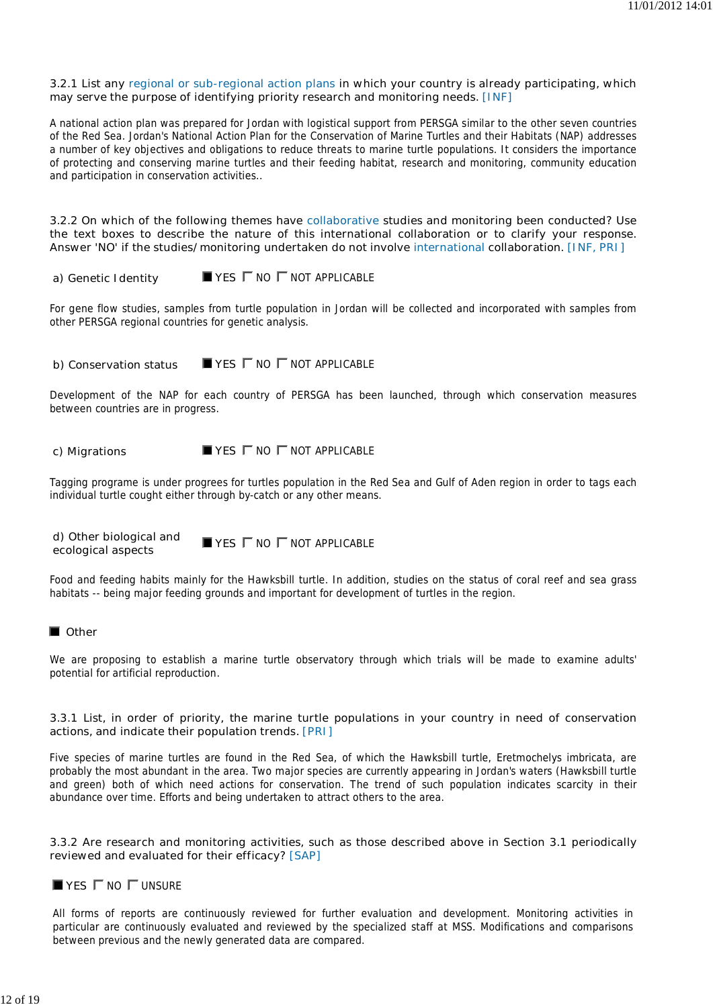### **3.2.1 List any regional or sub-regional action plans in which your country is already participating, which may serve the purpose of identifying priority research and monitoring needs. [INF]**

A national action plan was prepared for Jordan with logistical support from PERSGA similar to the other seven countries of the Red Sea. Jordan's National Action Plan for the Conservation of Marine Turtles and their Habitats (NAP) addresses a number of key objectives and obligations to reduce threats to marine turtle populations. It considers the importance of protecting and conserving marine turtles and their feeding habitat, research and monitoring, community education and participation in conservation activities..

**3.2.2 On which of the following themes have collaborative studies and monitoring been conducted? Use the text boxes to describe the nature of this international collaboration or to clarify your response. Answer 'NO' if the studies/monitoring undertaken do not involve international collaboration. [INF, PRI]**

# **a) Genetic Identity** ■ YES  $\Gamma$  NO  $\Gamma$  NOT APPLICABLE

For gene flow studies, samples from turtle population in Jordan will be collected and incorporated with samples from other PERSGA regional countries for genetic analysis.

**b) Conservation status VES**  $\Gamma$  NO  $\Gamma$  NOT APPLICABLE

Development of the NAP for each country of PERSGA has been launched, through which conservation measures between countries are in progress.

# **c) Migrations** ■ YES  $\Gamma$  NO  $\Gamma$  NOT APPLICABLE

Tagging programe is under progrees for turtles population in the Red Sea and Gulf of Aden region in order to tags each individual turtle cought either through by-catch or any other means.

**d) Other biological and d) Other biological and ■ YES**  $\Gamma$  NO  $\Gamma$  NOT APPLICABLE ecological aspects

Food and feeding habits mainly for the Hawksbill turtle. In addition, studies on the status of coral reef and sea grass habitats -- being major feeding grounds and important for development of turtles in the region.

### **D** Other

We are proposing to establish a marine turtle observatory through which trials will be made to examine adults' potential for artificial reproduction.

#### **3.3.1 List, in order of priority, the marine turtle populations in your country in need of conservation actions, and indicate their population trends. [PRI]**

Five species of marine turtles are found in the Red Sea, of which the Hawksbill turtle, Eretmochelys imbricata, are probably the most abundant in the area. Two major species are currently appearing in Jordan's waters (Hawksbill turtle and green) both of which need actions for conservation. The trend of such population indicates scarcity in their abundance over time. Efforts and being undertaken to attract others to the area.

### **3.3.2 Are research and monitoring activities, such as those described above in Section 3.1 periodically reviewed and evaluated for their efficacy? [SAP]**

### $$

All forms of reports are continuously reviewed for further evaluation and development. Monitoring activities in particular are continuously evaluated and reviewed by the specialized staff at MSS. Modifications and comparisons between previous and the newly generated data are compared.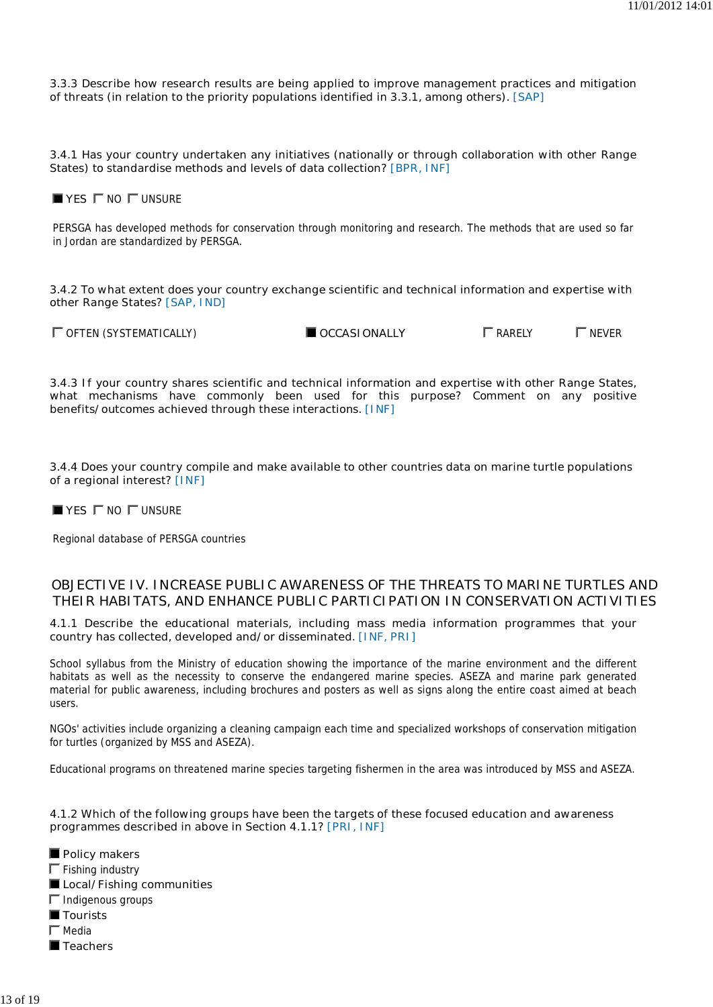**3.3.3 Describe how research results are being applied to improve management practices and mitigation of threats (in relation to the priority populations identified in 3.3.1, among others). [SAP]**

**3.4.1 Has your country undertaken any initiatives (nationally or through collaboration with other Range States) to standardise methods and levels of data collection? [BPR, INF]**

 $\blacksquare$  **YES**  $\blacksquare$  NO  $\blacksquare$  UNSURE

PERSGA has developed methods for conservation through monitoring and research. The methods that are used so far in Jordan are standardized by PERSGA.

**3.4.2 To what extent does your country exchange scientific and technical information and expertise with other Range States? [SAP, IND]**

 $\Box$  OFTEN (SYSTEMATICALLY)  $\Box$  OCCASIONALLY  $\Box$  RARELY  $\Box$  NEVER

**3.4.3 If your country shares scientific and technical information and expertise with other Range States, what mechanisms have commonly been used for this purpose? Comment on any positive benefits/outcomes achieved through these interactions. [INF]**

**3.4.4 Does your country compile and make available to other countries data on marine turtle populations of a regional interest? [INF]**

 $$ 

Regional database of PERSGA countries

# **OBJECTIVE IV. INCREASE PUBLIC AWARENESS OF THE THREATS TO MARINE TURTLES AND THEIR HABITATS, AND ENHANCE PUBLIC PARTICIPATION IN CONSERVATION ACTIVITIES**

**4.1.1 Describe the educational materials, including mass media information programmes that your country has collected, developed and/or disseminated. [INF, PRI]**

School syllabus from the Ministry of education showing the importance of the marine environment and the different habitats as well as the necessity to conserve the endangered marine species. ASEZA and marine park generated material for public awareness, including brochures and posters as well as signs along the entire coast aimed at beach users.

NGOs' activities include organizing a cleaning campaign each time and specialized workshops of conservation mitigation for turtles (organized by MSS and ASEZA).

Educational programs on threatened marine species targeting fishermen in the area was introduced by MSS and ASEZA.

### **4.1.2 Which of the following groups have been the targets of these focused education and awareness programmes described in above in Section 4.1.1? [PRI, INF]**

**Policy makers**  $\Gamma$  Fishing industry **Local/Fishing communities**  $\Gamma$  Indigenous groups ■ Tourists  $\Gamma$  Media ■ Teachers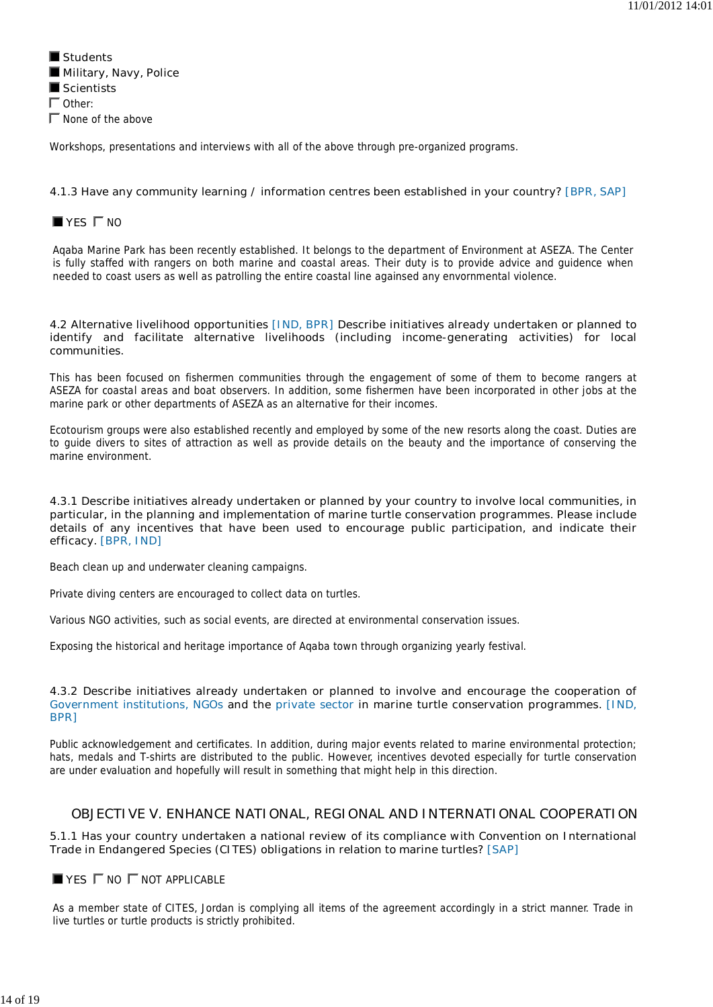**Students Military, Navy, Police Scientists**  $\Gamma$  Other:  $\Gamma$  None of the above

Workshops, presentations and interviews with all of the above through pre-organized programs.

# **4.1.3 Have any community learning / information centres been established in your country? [BPR, SAP]**

# **YES**  $\Gamma$  NO

Aqaba Marine Park has been recently established. It belongs to the department of Environment at ASEZA. The Center is fully staffed with rangers on both marine and coastal areas. Their duty is to provide advice and guidence when needed to coast users as well as patrolling the entire coastal line againsed any envornmental violence.

### **4.2 Alternative livelihood opportunities [IND, BPR] Describe initiatives already undertaken or planned to identify and facilitate alternative livelihoods (including income-generating activities) for local communities.**

This has been focused on fishermen communities through the engagement of some of them to become rangers at ASEZA for coastal areas and boat observers. In addition, some fishermen have been incorporated in other jobs at the marine park or other departments of ASEZA as an alternative for their incomes.

Ecotourism groups were also established recently and employed by some of the new resorts along the coast. Duties are to guide divers to sites of attraction as well as provide details on the beauty and the importance of conserving the marine environment.

### **4.3.1 Describe initiatives already undertaken or planned by your country to involve local communities, in particular, in the planning and implementation of marine turtle conservation programmes. Please include details of any incentives that have been used to encourage public participation, and indicate their efficacy. [BPR, IND]**

Beach clean up and underwater cleaning campaigns.

Private diving centers are encouraged to collect data on turtles.

Various NGO activities, such as social events, are directed at environmental conservation issues.

Exposing the historical and heritage importance of Aqaba town through organizing yearly festival.

### **4.3.2 Describe initiatives already undertaken or planned to involve and encourage the cooperation of Government institutions, NGOs and the private sector in marine turtle conservation programmes. [IND, BPR]**

Public acknowledgement and certificates. In addition, during major events related to marine environmental protection; hats, medals and T-shirts are distributed to the public. However, incentives devoted especially for turtle conservation are under evaluation and hopefully will result in something that might help in this direction.

# **OBJECTIVE V. ENHANCE NATIONAL, REGIONAL AND INTERNATIONAL COOPERATION**

**5.1.1 Has your country undertaken a national review of its compliance with Convention on International Trade in Endangered Species (CITES) obligations in relation to marine turtles? [SAP]**

# **YES**  $\Gamma$  NO  $\Gamma$  NOT APPLICABLE

As a member state of CITES, Jordan is complying all items of the agreement accordingly in a strict manner. Trade in live turtles or turtle products is strictly prohibited.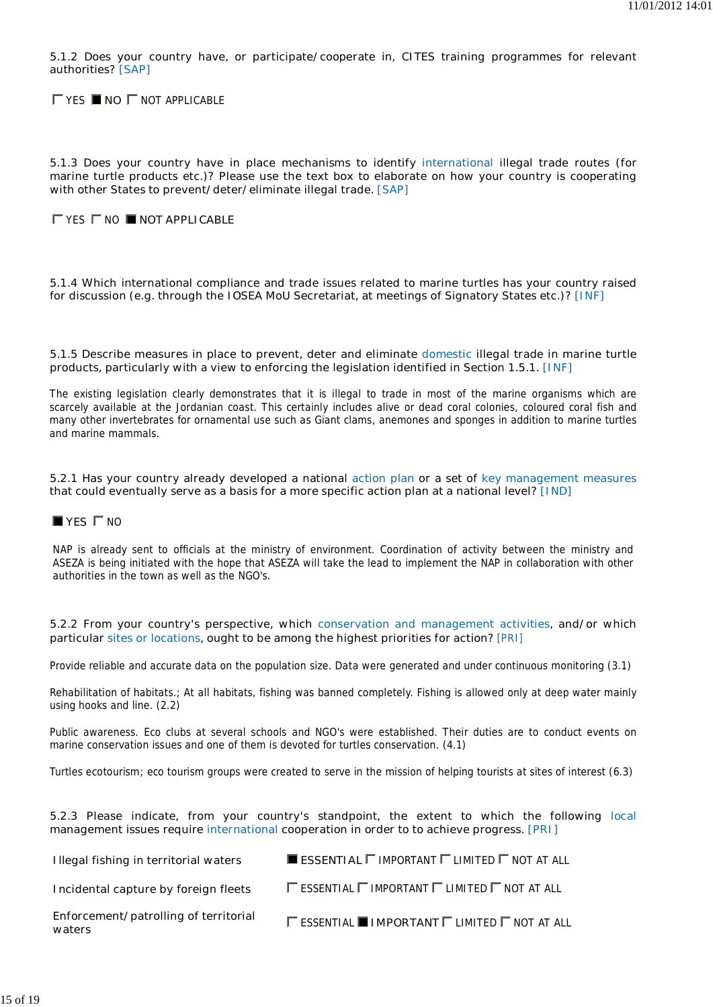**5.1.2 Does your country have, or participate/cooperate in, CITES training programmes for relevant authorities? [SAP]**

**TYES INO** TNOT APPLICABLE

**5.1.3 Does your country have in place mechanisms to identify international illegal trade routes (for marine turtle products etc.)? Please use the text box to elaborate on how your country is cooperating with other States to prevent/deter/eliminate illegal trade. [SAP]**

# YES NO **NOT APPLICABLE**

**5.1.4 Which international compliance and trade issues related to marine turtles has your country raised for discussion (e.g. through the IOSEA MoU Secretariat, at meetings of Signatory States etc.)? [INF]**

### **5.1.5 Describe measures in place to prevent, deter and eliminate domestic illegal trade in marine turtle products, particularly with a view to enforcing the legislation identified in Section 1.5.1. [INF]**

The existing legislation clearly demonstrates that it is illegal to trade in most of the marine organisms which are scarcely available at the Jordanian coast. This certainly includes alive or dead coral colonies, coloured coral fish and many other invertebrates for ornamental use such as Giant clams, anemones and sponges in addition to marine turtles and marine mammals.

### **5.2.1 Has your country already developed a national action plan or a set of key management measures that could eventually serve as a basis for a more specific action plan at a national level? [IND]**

# **YES**  $\Gamma$  NO

NAP is already sent to officials at the ministry of environment. Coordination of activity between the ministry and ASEZA is being initiated with the hope that ASEZA will take the lead to implement the NAP in collaboration with other authorities in the town as well as the NGO's.

#### **5.2.2 From your country's perspective, which conservation and management activities, and/or which particular sites or locations, ought to be among the highest priorities for action? [PRI]**

Provide reliable and accurate data on the population size. Data were generated and under continuous monitoring (3.1)

Rehabilitation of habitats.; At all habitats, fishing was banned completely. Fishing is allowed only at deep water mainly using hooks and line. (2.2)

Public awareness. Eco clubs at several schools and NGO's were established. Their duties are to conduct events on marine conservation issues and one of them is devoted for turtles conservation. (4.1)

Turtles ecotourism; eco tourism groups were created to serve in the mission of helping tourists at sites of interest (6.3)

### **5.2.3 Please indicate, from your country's standpoint, the extent to which the following local management issues require international cooperation in order to to achieve progress. [PRI]**

| Illegal fishing in territorial waters           | <b>ESSENTIAL</b> $\Gamma$ IMPORTANT $\Gamma$ LIMITED $\Gamma$ NOT AT ALL         |
|-------------------------------------------------|----------------------------------------------------------------------------------|
| Incidental capture by foreign fleets            | $\Gamma$ essential $\Gamma$ important $\Gamma$ limited $\Gamma$ not at all       |
| Enforcement/patrolling of territorial<br>waters | $\Gamma$ essential $\blacksquare$ important $\Gamma$ limited $\Gamma$ not at all |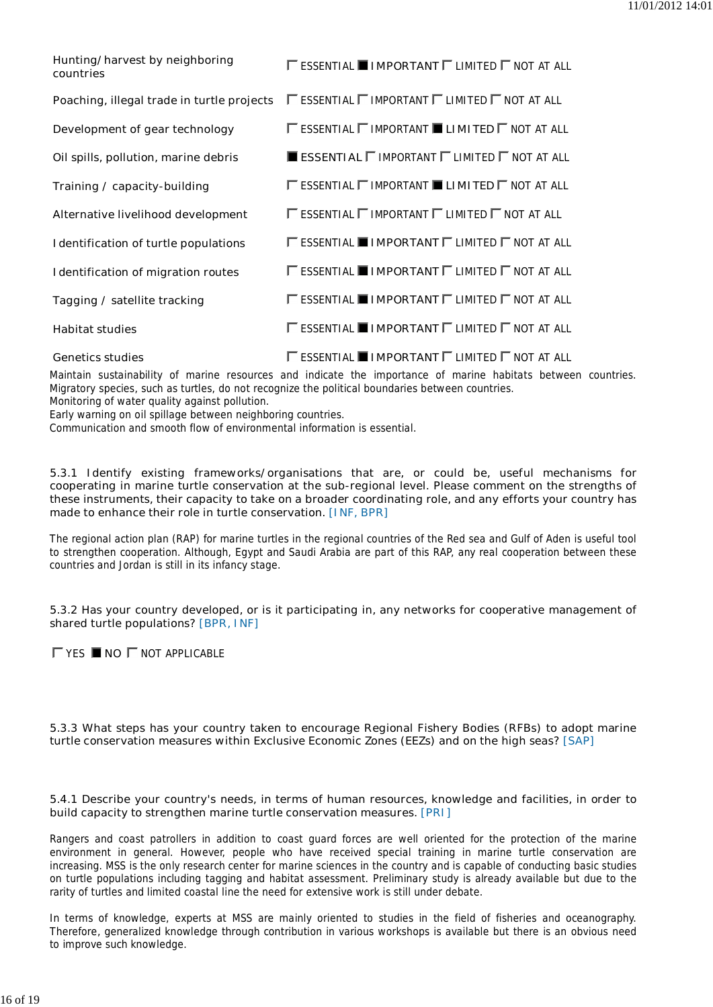| Hunting/harvest by neighboring<br>countries | $\Gamma$ essential $\blacksquare$ IMPORTANT $\Gamma$ limited $\Gamma$ not at all        |
|---------------------------------------------|-----------------------------------------------------------------------------------------|
| Poaching, illegal trade in turtle projects  | $\Gamma$ essential $\Gamma$ important $\Gamma$ limited $\Gamma$ not at all              |
| Development of gear technology              | $\Gamma$ essential $\Gamma$ important $\blacksquare$ <b>Limited</b> $\Gamma$ not at all |
| Oil spills, pollution, marine debris        | $\blacksquare$ ESSENTIAL $\sqcap$ IMPORTANT $\sqcap$ LIMITED $\sqcap$ NOT AT ALL        |
| Training / capacity-building                | $\Gamma$ essential $\Gamma$ important $\blacksquare$ <b>Limited</b> $\Gamma$ not at all |
| Alternative livelihood development          | $\Gamma$ essential $\Gamma$ important $\Gamma$ limited $\Gamma$ not at all              |
| <b>Identification of turtle populations</b> | $\Gamma$ essential <b>Important</b> $\Gamma$ limited $\Gamma$ not at all                |
| <b>Identification of migration routes</b>   | $\Gamma$ essential $\blacksquare$ important $\Gamma$ limited $\Gamma$ not at all        |
| Tagging / satellite tracking                | $\Gamma$ essential <b>Important</b> $\Gamma$ limited $\Gamma$ not at all                |
| <b>Habitat studies</b>                      | $\Gamma$ essential $\blacksquare$ important $\Gamma$ limited $\Gamma$ not at all        |
| <b>Genetics studies</b>                     | $\Gamma$ essential $\blacksquare$ important $\Gamma$ limited $\Gamma$ not at all        |

Maintain sustainability of marine resources and indicate the importance of marine habitats between countries. Migratory species, such as turtles, do not recognize the political boundaries between countries.

Monitoring of water quality against pollution.

Early warning on oil spillage between neighboring countries.

Communication and smooth flow of environmental information is essential.

**5.3.1 Identify existing frameworks/organisations that are, or could be, useful mechanisms for cooperating in marine turtle conservation at the sub-regional level. Please comment on the strengths of these instruments, their capacity to take on a broader coordinating role, and any efforts your country has made to enhance their role in turtle conservation. [INF, BPR]**

The regional action plan (RAP) for marine turtles in the regional countries of the Red sea and Gulf of Aden is useful tool to strengthen cooperation. Although, Egypt and Saudi Arabia are part of this RAP, any real cooperation between these countries and Jordan is still in its infancy stage.

**5.3.2 Has your country developed, or is it participating in, any networks for cooperative management of shared turtle populations? [BPR, INF]**

YES **NO** NOT APPLICABLE

**5.3.3 What steps has your country taken to encourage Regional Fishery Bodies (RFBs) to adopt marine turtle conservation measures within Exclusive Economic Zones (EEZs) and on the high seas? [SAP]**

#### **5.4.1 Describe your country's needs, in terms of human resources, knowledge and facilities, in order to build capacity to strengthen marine turtle conservation measures. [PRI]**

Rangers and coast patrollers in addition to coast guard forces are well oriented for the protection of the marine environment in general. However, people who have received special training in marine turtle conservation are increasing. MSS is the only research center for marine sciences in the country and is capable of conducting basic studies on turtle populations including tagging and habitat assessment. Preliminary study is already available but due to the rarity of turtles and limited coastal line the need for extensive work is still under debate.

In terms of knowledge, experts at MSS are mainly oriented to studies in the field of fisheries and oceanography. Therefore, generalized knowledge through contribution in various workshops is available but there is an obvious need to improve such knowledge.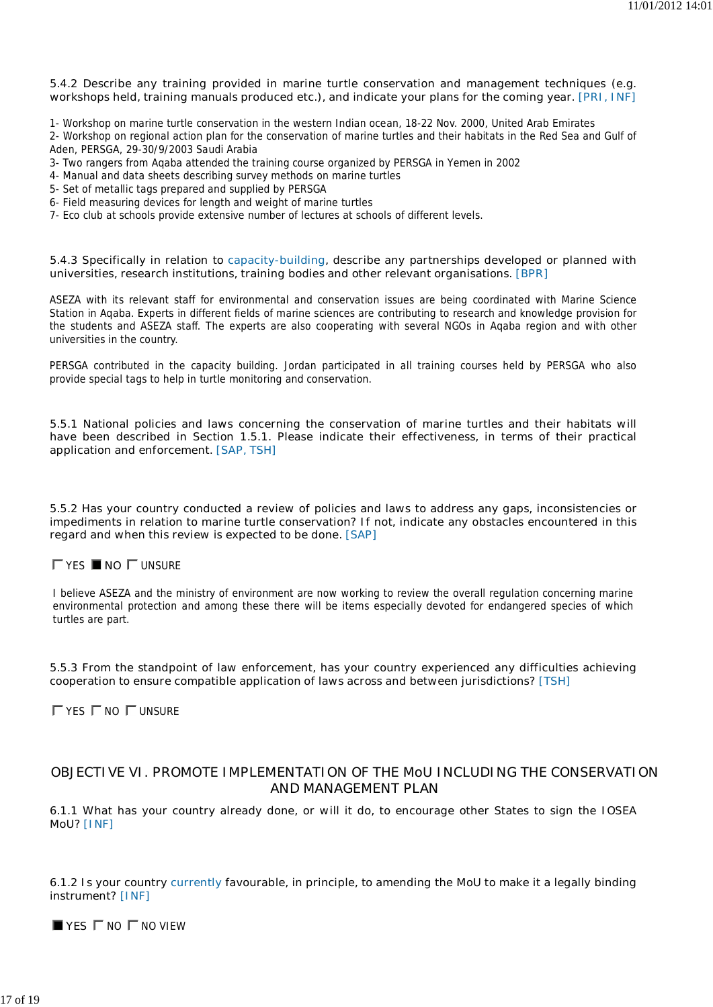### **5.4.2 Describe any training provided in marine turtle conservation and management techniques (e.g. workshops held, training manuals produced etc.), and indicate your plans for the coming year. [PRI, INF]**

1- Workshop on marine turtle conservation in the western Indian ocean, 18-22 Nov. 2000, United Arab Emirates

- 2- Workshop on regional action plan for the conservation of marine turtles and their habitats in the Red Sea and Gulf of Aden, PERSGA, 29-30/9/2003 Saudi Arabia
- 3- Two rangers from Aqaba attended the training course organized by PERSGA in Yemen in 2002
- 4- Manual and data sheets describing survey methods on marine turtles
- 5- Set of metallic tags prepared and supplied by PERSGA
- 6- Field measuring devices for length and weight of marine turtles
- 7- Eco club at schools provide extensive number of lectures at schools of different levels.

### **5.4.3 Specifically in relation to capacity-building, describe any partnerships developed or planned with universities, research institutions, training bodies and other relevant organisations. [BPR]**

ASEZA with its relevant staff for environmental and conservation issues are being coordinated with Marine Science Station in Aqaba. Experts in different fields of marine sciences are contributing to research and knowledge provision for the students and ASEZA staff. The experts are also cooperating with several NGOs in Aqaba region and with other universities in the country.

PERSGA contributed in the capacity building. Jordan participated in all training courses held by PERSGA who also provide special tags to help in turtle monitoring and conservation.

**5.5.1 National policies and laws concerning the conservation of marine turtles and their habitats will have been described in Section 1.5.1. Please indicate their effectiveness, in terms of their practical application and enforcement. [SAP, TSH]**

**5.5.2 Has your country conducted a review of policies and laws to address any gaps, inconsistencies or impediments in relation to marine turtle conservation? If not, indicate any obstacles encountered in this regard and when this review is expected to be done. [SAP]**

# YES **NO** UNSURE

I believe ASEZA and the ministry of environment are now working to review the overall regulation concerning marine environmental protection and among these there will be items especially devoted for endangered species of which turtles are part.

**5.5.3 From the standpoint of law enforcement, has your country experienced any difficulties achieving cooperation to ensure compatible application of laws across and between jurisdictions? [TSH]**

 $\Gamma$  YES  $\Gamma$  NO  $\Gamma$  UNSURE

# **OBJECTIVE VI. PROMOTE IMPLEMENTATION OF THE MoU INCLUDING THE CONSERVATION AND MANAGEMENT PLAN**

**6.1.1 What has your country already done, or will it do, to encourage other States to sign the IOSEA MoU? [INF]**

**6.1.2 Is your country currently favourable, in principle, to amending the MoU to make it a legally binding instrument? [INF]**

 $\blacksquare$  **YES**  $\blacksquare$  **NO**  $\blacksquare$  **NO** VIEW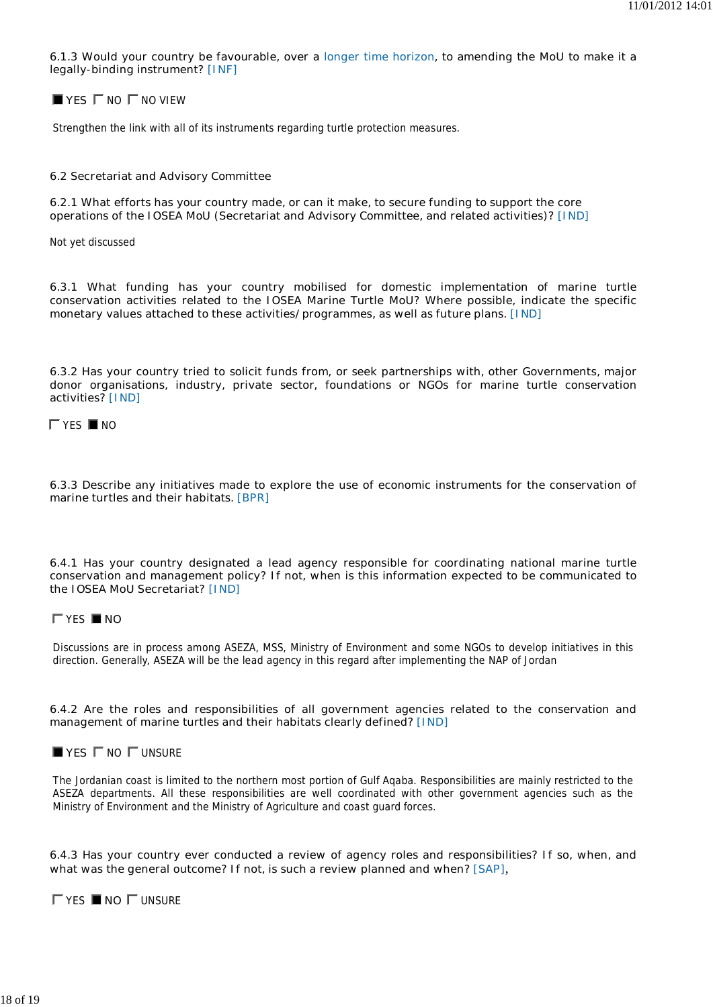**6.1.3 Would your country be favourable, over a longer time horizon, to amending the MoU to make it a legally-binding instrument? [INF]**

 $\blacksquare$  **YES**  $\blacksquare$  NO  $\blacksquare$  NO VIEW

Strengthen the link with all of its instruments regarding turtle protection measures.

#### **6.2 Secretariat and Advisory Committee**

**6.2.1 What efforts has your country made, or can it make, to secure funding to support the core operations of the IOSEA MoU (Secretariat and Advisory Committee, and related activities)? [IND]**

Not yet discussed

**6.3.1 What funding has your country mobilised for domestic implementation of marine turtle conservation activities related to the IOSEA Marine Turtle MoU? Where possible, indicate the specific monetary values attached to these activities/programmes, as well as future plans. [IND]**

**6.3.2 Has your country tried to solicit funds from, or seek partnerships with, other Governments, major donor organisations, industry, private sector, foundations or NGOs for marine turtle conservation activities? [IND]**

 $\Gamma$  YES  $\blacksquare$  NO

**6.3.3 Describe any initiatives made to explore the use of economic instruments for the conservation of marine turtles and their habitats. [BPR]**

**6.4.1 Has your country designated a lead agency responsible for coordinating national marine turtle conservation and management policy? If not, when is this information expected to be communicated to the IOSEA MoU Secretariat? [IND]**

#### YES **NO**

Discussions are in process among ASEZA, MSS, Ministry of Environment and some NGOs to develop initiatives in this direction. Generally, ASEZA will be the lead agency in this regard after implementing the NAP of Jordan

#### **6.4.2 Are the roles and responsibilities of all government agencies related to the conservation and management of marine turtles and their habitats clearly defined? [IND]**

**FIND**  $\Gamma$  UNSURE

The Jordanian coast is limited to the northern most portion of Gulf Aqaba. Responsibilities are mainly restricted to the ASEZA departments. All these responsibilities are well coordinated with other government agencies such as the Ministry of Environment and the Ministry of Agriculture and coast guard forces.

**6.4.3 Has your country ever conducted a review of agency roles and responsibilities? If so, when, and what was the general outcome? If not, is such a review planned and when? [SAP]**,

YES **NO** UNSURE